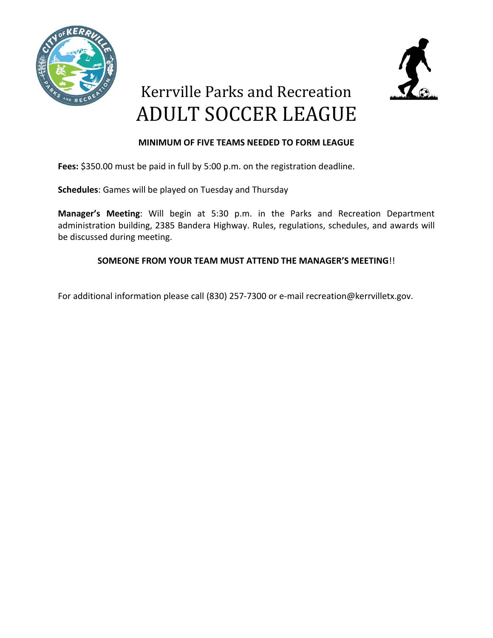



# Kerrville Parks and Recreation ADULT SOCCER LEAGUE

## **MINIMUM OF FIVE TEAMS NEEDED TO FORM LEAGUE**

**Fees:** \$350.00 must be paid in full by 5:00 p.m. on the registration deadline.

**Schedules**: Games will be played on Tuesday and Thursday

**Manager's Meeting**: Will begin at 5:30 p.m. in the Parks and Recreation Department administration building, 2385 Bandera Highway. Rules, regulations, schedules, and awards will be discussed during meeting.

## **SOMEONE FROM YOUR TEAM MUST ATTEND THE MANAGER'S MEETING**!!

For additional information please call (830) 257-7300 or e-mail recreation@kerrvilletx.gov.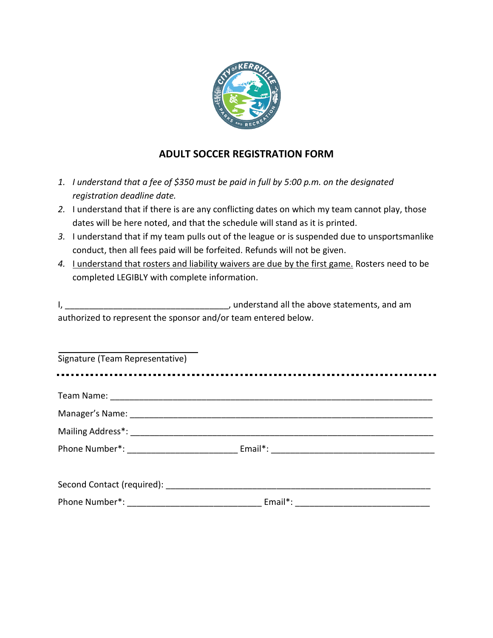

# **ADULT SOCCER REGISTRATION FORM**

- *1. I understand that a fee of \$350 must be paid in full by 5:00 p.m. on the designated registration deadline date.*
- *2.* I understand that if there is are any conflicting dates on which my team cannot play, those dates will be here noted, and that the schedule will stand as it is printed.
- *3.* I understand that if my team pulls out of the league or is suspended due to unsportsmanlike conduct, then all fees paid will be forfeited. Refunds will not be given.
- 4. Lunderstand that rosters and liability waivers are due by the first game. Rosters need to be completed LEGIBLY with complete information.

|                                                                | , understand all the above statements, and am |
|----------------------------------------------------------------|-----------------------------------------------|
| authorized to represent the sponsor and/or team entered below. |                                               |

| Signature (Team Representative) |  |
|---------------------------------|--|
|                                 |  |
|                                 |  |
|                                 |  |
|                                 |  |
|                                 |  |
|                                 |  |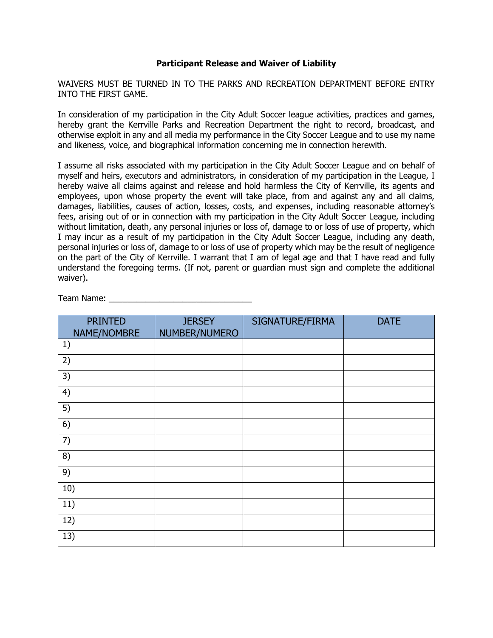### **Participant Release and Waiver of Liability**

WAIVERS MUST BE TURNED IN TO THE PARKS AND RECREATION DEPARTMENT BEFORE ENTRY INTO THE FIRST GAME.

In consideration of my participation in the City Adult Soccer league activities, practices and games, hereby grant the Kerrville Parks and Recreation Department the right to record, broadcast, and otherwise exploit in any and all media my performance in the City Soccer League and to use my name and likeness, voice, and biographical information concerning me in connection herewith.

I assume all risks associated with my participation in the City Adult Soccer League and on behalf of myself and heirs, executors and administrators, in consideration of my participation in the League, I hereby waive all claims against and release and hold harmless the City of Kerrville, its agents and employees, upon whose property the event will take place, from and against any and all claims, damages, liabilities, causes of action, losses, costs, and expenses, including reasonable attorney's fees, arising out of or in connection with my participation in the City Adult Soccer League, including without limitation, death, any personal injuries or loss of, damage to or loss of use of property, which I may incur as a result of my participation in the City Adult Soccer League, including any death, personal injuries or loss of, damage to or loss of use of property which may be the result of negligence on the part of the City of Kerrville. I warrant that I am of legal age and that I have read and fully understand the foregoing terms. (If not, parent or guardian must sign and complete the additional waiver).

Team Name: **Example 20** 

| <b>PRINTED</b><br>NAME/NOMBRE | <b>JERSEY</b><br>NUMBER/NUMERO | SIGNATURE/FIRMA | <b>DATE</b> |
|-------------------------------|--------------------------------|-----------------|-------------|
| 1)                            |                                |                 |             |
| 2)                            |                                |                 |             |
| 3)                            |                                |                 |             |
| 4)                            |                                |                 |             |
| 5)                            |                                |                 |             |
| 6)                            |                                |                 |             |
| 7)                            |                                |                 |             |
| 8)                            |                                |                 |             |
| 9)                            |                                |                 |             |
| 10)                           |                                |                 |             |
| 11)                           |                                |                 |             |
| 12)                           |                                |                 |             |
| 13)                           |                                |                 |             |
|                               |                                |                 |             |